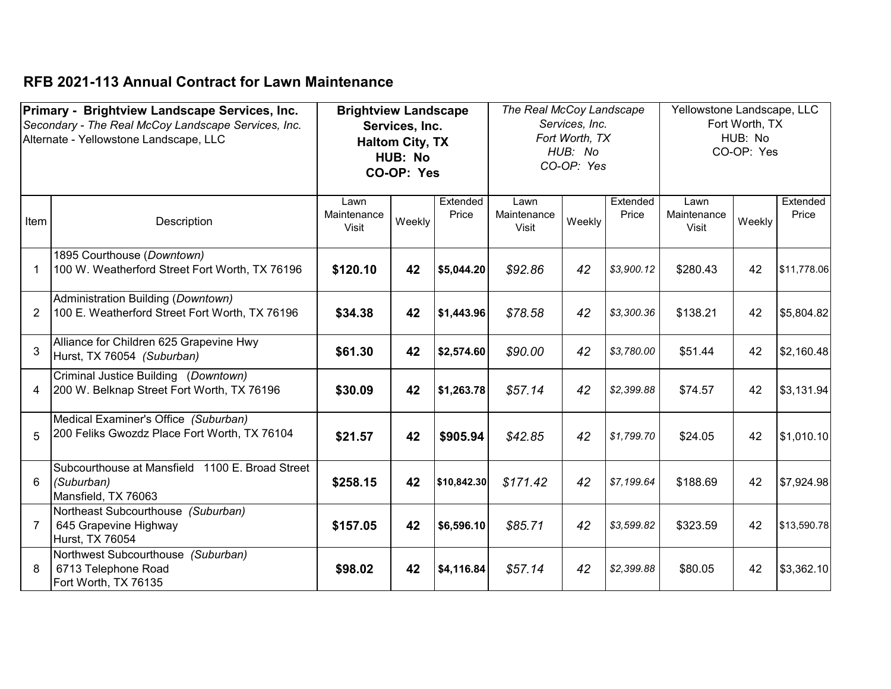|                | Primary - Brightview Landscape Services, Inc.<br>Secondary - The Real McCoy Landscape Services, Inc.<br>Alternate - Yellowstone Landscape, LLC | <b>Brightview Landscape</b><br>Services, Inc.<br><b>Haltom City, TX</b><br>HUB: No<br>CO-OP: Yes<br>Extended<br>Lawn<br>Lawn |        | The Real McCoy Landscape<br>Services, Inc.<br>Fort Worth, TX<br>HUB: No<br>CO-OP: Yes |                      | Yellowstone Landscape, LLC<br>Fort Worth, TX<br>HUB: No<br>CO-OP: Yes |                   |                                     |        |                   |
|----------------|------------------------------------------------------------------------------------------------------------------------------------------------|------------------------------------------------------------------------------------------------------------------------------|--------|---------------------------------------------------------------------------------------|----------------------|-----------------------------------------------------------------------|-------------------|-------------------------------------|--------|-------------------|
| Item           | Description                                                                                                                                    | Maintenance<br>Visit                                                                                                         | Weekly | Price                                                                                 | Maintenance<br>Visit | Weekly                                                                | Extended<br>Price | Lawn<br>Maintenance<br><b>Visit</b> | Weekly | Extended<br>Price |
| $\mathbf 1$    | 1895 Courthouse (Downtown)<br>100 W. Weatherford Street Fort Worth, TX 76196                                                                   | \$120.10                                                                                                                     | 42     | \$5,044.20                                                                            | \$92.86              | 42                                                                    | \$3,900.12        | \$280.43                            | 42     | \$11,778.06       |
| $\overline{2}$ | Administration Building (Downtown)<br>100 E. Weatherford Street Fort Worth, TX 76196                                                           | \$34.38                                                                                                                      | 42     | \$1,443.96                                                                            | \$78.58              | 42                                                                    | \$3,300.36        | \$138.21                            | 42     | \$5,804.82        |
| 3              | Alliance for Children 625 Grapevine Hwy<br>Hurst, TX 76054 (Suburban)                                                                          | \$61.30                                                                                                                      | 42     | \$2,574.60                                                                            | \$90.00              | 42                                                                    | \$3,780.00        | \$51.44                             | 42     | \$2,160.48        |
| 4              | Criminal Justice Building (Downtown)<br>200 W. Belknap Street Fort Worth, TX 76196                                                             | \$30.09                                                                                                                      | 42     | \$1,263.78                                                                            | \$57.14              | 42                                                                    | \$2,399.88        | \$74.57                             | 42     | \$3,131.94        |
| 5              | Medical Examiner's Office (Suburban)<br>200 Feliks Gwozdz Place Fort Worth, TX 76104                                                           | \$21.57                                                                                                                      | 42     | \$905.94                                                                              | \$42.85              | 42                                                                    | \$1,799.70        | \$24.05                             | 42     | \$1,010.10        |
| 6              | Subcourthouse at Mansfield 1100 E. Broad Street<br>(Suburban)<br>Mansfield, TX 76063                                                           | \$258.15                                                                                                                     | 42     | \$10,842.30                                                                           | \$171.42             | 42                                                                    | \$7,199.64        | \$188.69                            | 42     | \$7,924.98        |
| $\overline{7}$ | Northeast Subcourthouse (Suburban)<br>645 Grapevine Highway<br>Hurst, TX 76054                                                                 | \$157.05                                                                                                                     | 42     | \$6,596.10                                                                            | \$85.71              | 42                                                                    | \$3,599.82        | \$323.59                            | 42     | \$13,590.78       |
| 8              | Northwest Subcourthouse (Suburban)<br>6713 Telephone Road<br>Fort Worth, TX 76135                                                              | \$98.02                                                                                                                      | 42     | \$4,116.84                                                                            | \$57.14              | 42                                                                    | \$2,399.88        | \$80.05                             | 42     | \$3,362.10        |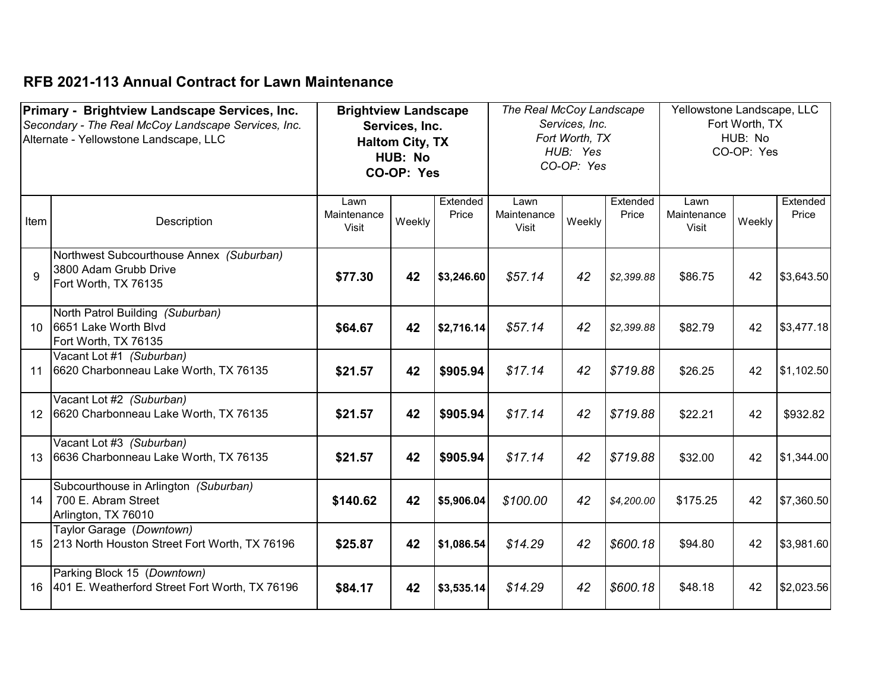|      | Primary - Brightview Landscape Services, Inc.<br>Secondary - The Real McCoy Landscape Services, Inc. | <b>Brightview Landscape</b>  | Services, Inc.                                  |                   | The Real McCoy Landscape     | Services, Inc.                           |                   | Yellowstone Landscape, LLC          | Fort Worth, TX        |                   |
|------|------------------------------------------------------------------------------------------------------|------------------------------|-------------------------------------------------|-------------------|------------------------------|------------------------------------------|-------------------|-------------------------------------|-----------------------|-------------------|
|      | Alternate - Yellowstone Landscape, LLC                                                               |                              | <b>Haltom City, TX</b><br>HUB: No<br>CO-OP: Yes |                   |                              | Fort Worth, TX<br>HUB: Yes<br>CO-OP: Yes |                   |                                     | HUB: No<br>CO-OP: Yes |                   |
| Item | Description                                                                                          | Lawn<br>Maintenance<br>Visit | Weekly                                          | Extended<br>Price | Lawn<br>Maintenance<br>Visit | Weekly                                   | Extended<br>Price | Lawn<br>Maintenance<br><b>Visit</b> | Weekly                | Extended<br>Price |
| 9    | Northwest Subcourthouse Annex (Suburban)<br>3800 Adam Grubb Drive<br>Fort Worth, TX 76135            | \$77.30                      | 42                                              | \$3,246.60        | \$57.14                      | 42                                       | \$2,399.88        | \$86.75                             | 42                    | \$3,643.50        |
| 10   | North Patrol Building (Suburban)<br>6651 Lake Worth Blvd<br>Fort Worth, TX 76135                     | \$64.67                      | 42                                              | \$2,716.14        | \$57.14                      | 42                                       | \$2,399.88        | \$82.79                             | 42                    | \$3,477.18        |
| 11   | Vacant Lot #1 (Suburban)<br>6620 Charbonneau Lake Worth, TX 76135                                    | \$21.57                      | 42                                              | \$905.94          | \$17.14                      | 42                                       | \$719.88          | \$26.25                             | 42                    | \$1,102.50        |
| 12   | Vacant Lot #2 (Suburban)<br>6620 Charbonneau Lake Worth, TX 76135                                    | \$21.57                      | 42                                              | \$905.94          | \$17.14                      | 42                                       | \$719.88          | \$22.21                             | 42                    | \$932.82          |
| 13   | Vacant Lot #3 (Suburban)<br>6636 Charbonneau Lake Worth, TX 76135                                    | \$21.57                      | 42                                              | \$905.94          | \$17.14                      | 42                                       | \$719.88          | \$32.00                             | 42                    | \$1,344.00        |
| 14   | Subcourthouse in Arlington (Suburban)<br>700 E. Abram Street<br>Arlington, TX 76010                  | \$140.62                     | 42                                              | \$5,906.04        | \$100.00                     | 42                                       | \$4,200.00        | \$175.25                            | 42                    | \$7,360.50        |
| 15   | Taylor Garage (Downtown)<br>213 North Houston Street Fort Worth, TX 76196                            | \$25.87                      | 42                                              | \$1,086.54        | \$14.29                      | 42                                       | \$600.18          | \$94.80                             | 42                    | \$3,981.60        |
| 16   | Parking Block 15 (Downtown)<br>401 E. Weatherford Street Fort Worth, TX 76196                        | \$84.17                      | 42                                              | \$3,535.14        | \$14.29                      | 42                                       | \$600.18          | \$48.18                             | 42                    | \$2,023.56        |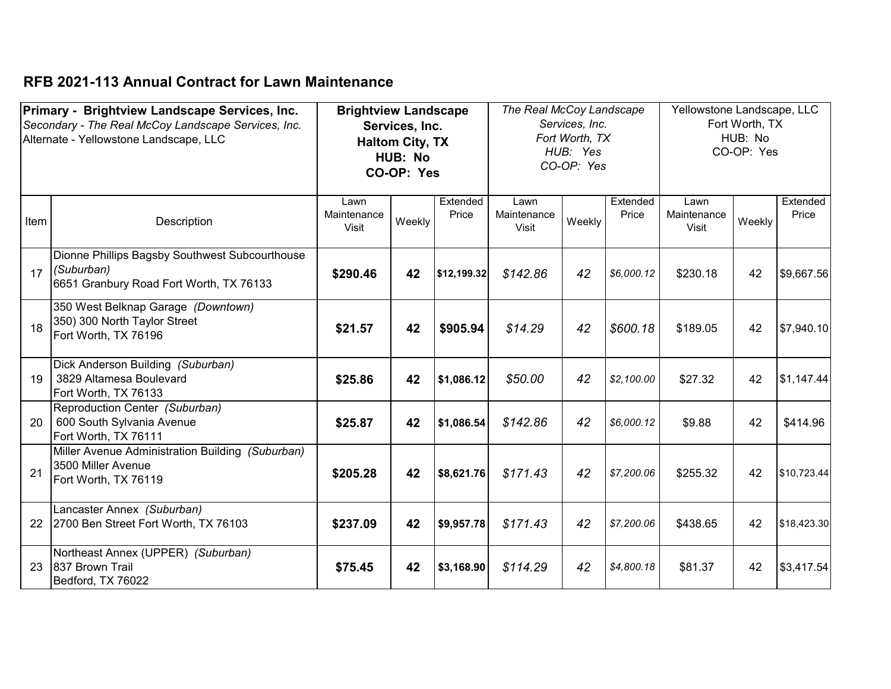|      | Primary - Brightview Landscape Services, Inc.                                                           | <b>Brightview Landscape</b>  |                                                                   |                                                                                                    | The Real McCoy Landscape |                                         |            | Yellowstone Landscape, LLC  |        |                   |
|------|---------------------------------------------------------------------------------------------------------|------------------------------|-------------------------------------------------------------------|----------------------------------------------------------------------------------------------------|--------------------------|-----------------------------------------|------------|-----------------------------|--------|-------------------|
|      | Secondary - The Real McCoy Landscape Services, Inc.<br>Alternate - Yellowstone Landscape, LLC           |                              | Services, Inc.<br><b>Haltom City, TX</b><br>HUB: No<br>CO-OP: Yes | Services, Inc.<br>Fort Worth, TX<br>HUB: Yes<br>CO-OP: Yes<br>Extended<br>Extended<br>Lawn<br>Lawn |                          | Fort Worth, TX<br>HUB: No<br>CO-OP: Yes |            |                             |        |                   |
| Item | Description                                                                                             | Lawn<br>Maintenance<br>Visit | Weekly                                                            | Price                                                                                              | Maintenance<br>Visit     | Weekly                                  | Price      | Maintenance<br><b>Visit</b> | Weekly | Extended<br>Price |
| 17   | Dionne Phillips Bagsby Southwest Subcourthouse<br>(Suburban)<br>6651 Granbury Road Fort Worth, TX 76133 | \$290.46                     | 42                                                                | \$12,199.32                                                                                        | \$142.86                 | 42                                      | \$6,000.12 | \$230.18                    | 42     | \$9,667.56        |
| 18   | 350 West Belknap Garage (Downtown)<br>350) 300 North Taylor Street<br>Fort Worth, TX 76196              | \$21.57                      | 42                                                                | \$905.94                                                                                           | \$14.29                  | 42                                      | \$600.18   | \$189.05                    | 42     | \$7,940.10        |
| 19   | Dick Anderson Building (Suburban)<br>3829 Altamesa Boulevard<br>Fort Worth, TX 76133                    | \$25.86                      | 42                                                                | \$1,086.12                                                                                         | \$50.00                  | 42                                      | \$2,100.00 | \$27.32                     | 42     | \$1,147.44        |
| 20   | Reproduction Center (Suburban)<br>600 South Sylvania Avenue<br>Fort Worth, TX 76111                     | \$25.87                      | 42                                                                | \$1,086.54                                                                                         | \$142.86                 | 42                                      | \$6,000.12 | \$9.88                      | 42     | \$414.96          |
| 21   | Miller Avenue Administration Building (Suburban)<br>3500 Miller Avenue<br>Fort Worth, TX 76119          | \$205.28                     | 42                                                                | \$8,621.76                                                                                         | \$171.43                 | 42                                      | \$7,200.06 | \$255.32                    | 42     | \$10,723.44       |
| 22   | Lancaster Annex (Suburban)<br>2700 Ben Street Fort Worth, TX 76103                                      | \$237.09                     | 42                                                                | \$9,957.78                                                                                         | \$171.43                 | 42                                      | \$7,200.06 | \$438.65                    | 42     | \$18,423.30       |
| 23   | Northeast Annex (UPPER) (Suburban)<br>837 Brown Trail<br>Bedford, TX 76022                              | \$75.45                      | 42                                                                | \$3,168.90                                                                                         | \$114.29                 | 42                                      | \$4,800.18 | \$81.37                     | 42     | \$3,417.54        |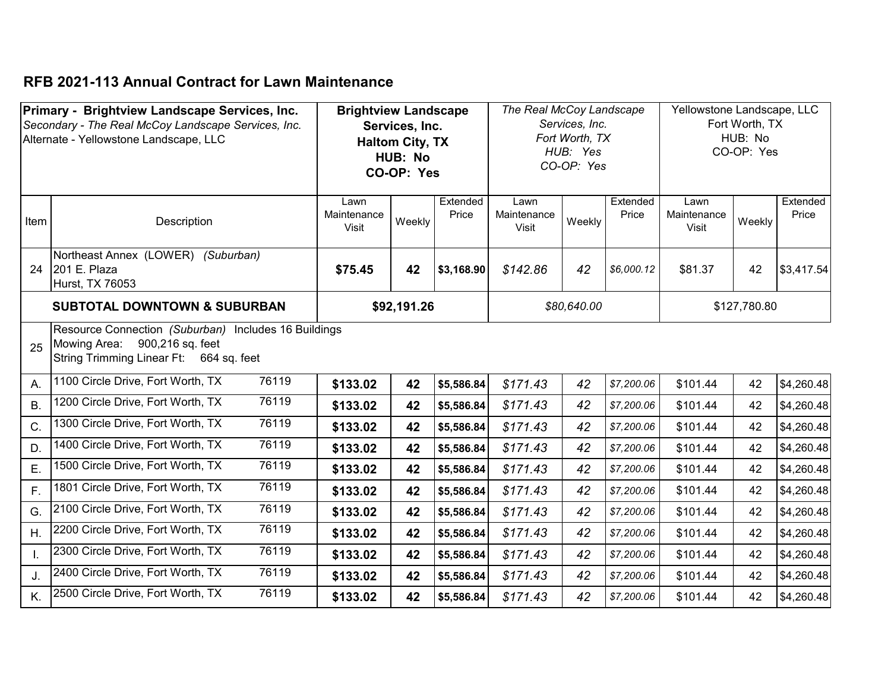|              | Primary - Brightview Landscape Services, Inc.<br>Secondary - The Real McCoy Landscape Services, Inc.<br>Alternate - Yellowstone Landscape, LLC | <b>Brightview Landscape</b><br>Services, Inc.<br><b>Haltom City, TX</b><br>HUB: No<br>CO-OP: Yes<br>Extended<br>Lawn |             |            | The Real McCoy Landscape<br>Services, Inc.<br>Fort Worth, TX<br>HUB: Yes<br>CO-OP: Yes<br>Extended<br>Lawn |             |            | Yellowstone Landscape, LLC<br>Fort Worth, TX<br>HUB: No<br>CO-OP: Yes<br>Extended<br>Lawn |              |            |
|--------------|------------------------------------------------------------------------------------------------------------------------------------------------|----------------------------------------------------------------------------------------------------------------------|-------------|------------|------------------------------------------------------------------------------------------------------------|-------------|------------|-------------------------------------------------------------------------------------------|--------------|------------|
| Item         | Description                                                                                                                                    | Maintenance<br><b>Visit</b>                                                                                          | Weekly      | Price      | Maintenance<br>Visit                                                                                       | Weekly      | Price      | Maintenance<br><b>Visit</b>                                                               | Weekly       | Price      |
| 24           | Northeast Annex (LOWER)<br>(Suburban)<br>201 E. Plaza<br>Hurst, TX 76053                                                                       | \$75.45                                                                                                              | 42          | \$3,168.90 | \$142.86                                                                                                   | 42          | \$6,000.12 | \$81.37                                                                                   | 42           | \$3,417.54 |
|              | <b>SUBTOTAL DOWNTOWN &amp; SUBURBAN</b>                                                                                                        |                                                                                                                      | \$92,191.26 |            |                                                                                                            | \$80,640.00 |            |                                                                                           | \$127,780.80 |            |
| 25           | Resource Connection (Suburban) Includes 16 Buildings<br>Mowing Area: 900,216 sq. feet<br>String Trimming Linear Ft: 664 sq. feet               |                                                                                                                      |             |            |                                                                                                            |             |            |                                                                                           |              |            |
| Α.           | 76119<br>1100 Circle Drive, Fort Worth, TX                                                                                                     | \$133.02                                                                                                             | 42          | \$5,586.84 | \$171.43                                                                                                   | 42          | \$7,200.06 | \$101.44                                                                                  | 42           | \$4,260.48 |
| B.           | 76119<br>1200 Circle Drive, Fort Worth, TX                                                                                                     | \$133.02                                                                                                             | 42          | \$5,586.84 | \$171.43                                                                                                   | 42          | \$7,200.06 | \$101.44                                                                                  | 42           | \$4,260.48 |
| C.           | 76119<br>1300 Circle Drive, Fort Worth, TX                                                                                                     | \$133.02                                                                                                             | 42          | \$5,586.84 | \$171.43                                                                                                   | 42          | \$7,200.06 | \$101.44                                                                                  | 42           | \$4,260.48 |
| D.           | 76119<br>1400 Circle Drive, Fort Worth, TX                                                                                                     | \$133.02                                                                                                             | 42          | \$5,586.84 | \$171.43                                                                                                   | 42          | \$7,200.06 | \$101.44                                                                                  | 42           | \$4,260.48 |
| E.           | 1500 Circle Drive, Fort Worth, TX<br>76119                                                                                                     | \$133.02                                                                                                             | 42          | \$5,586.84 | \$171.43                                                                                                   | 42          | \$7,200.06 | \$101.44                                                                                  | 42           | \$4,260.48 |
| F.           | 76119<br>1801 Circle Drive, Fort Worth, TX                                                                                                     | \$133.02                                                                                                             | 42          | \$5,586.84 | \$171.43                                                                                                   | 42          | \$7,200.06 | \$101.44                                                                                  | 42           | \$4,260.48 |
| G.           | 76119<br>2100 Circle Drive, Fort Worth, TX                                                                                                     | \$133.02                                                                                                             | 42          | \$5,586.84 | \$171.43                                                                                                   | 42          | \$7,200.06 | \$101.44                                                                                  | 42           | \$4,260.48 |
| Η.           | 76119<br>2200 Circle Drive, Fort Worth, TX                                                                                                     | \$133.02                                                                                                             | 42          | \$5,586.84 | \$171.43                                                                                                   | 42          | \$7,200.06 | \$101.44                                                                                  | 42           | \$4,260.48 |
| $\mathsf{L}$ | 76119<br>2300 Circle Drive, Fort Worth, TX                                                                                                     | \$133.02                                                                                                             | 42          | \$5,586.84 | \$171.43                                                                                                   | 42          | \$7,200.06 | \$101.44                                                                                  | 42           | \$4,260.48 |
| J.           | 76119<br>2400 Circle Drive, Fort Worth, TX                                                                                                     | \$133.02                                                                                                             | 42          | \$5,586.84 | \$171.43                                                                                                   | 42          | \$7,200.06 | \$101.44                                                                                  | 42           | \$4,260.48 |
| K.           | 76119<br>2500 Circle Drive, Fort Worth, TX                                                                                                     | \$133.02                                                                                                             | 42          | \$5,586.84 | \$171.43                                                                                                   | 42          | \$7,200.06 | \$101.44                                                                                  | 42           | \$4,260.48 |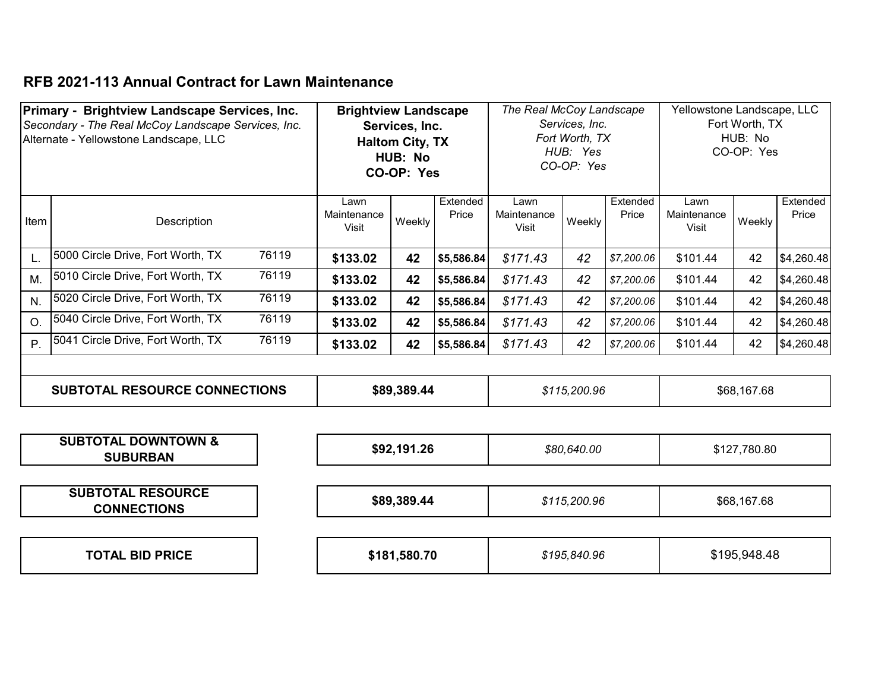|      | Primary - Brightview Landscape Services, Inc.<br>Secondary - The Real McCoy Landscape Services, Inc.<br>Alternate - Yellowstone Landscape, LLC |       | <b>Brightview Landscape</b><br>Services, Inc.<br><b>Haltom City, TX</b><br>HUB: No<br>CO-OP: Yes |             |                   | The Real McCoy Landscape<br>Services, Inc.<br>Fort Worth, TX<br>HUB: Yes<br>CO-OP: Yes |              |                   | Yellowstone Landscape, LLC<br>Fort Worth, TX<br>HUB: No<br>CO-OP: Yes |              |                   |
|------|------------------------------------------------------------------------------------------------------------------------------------------------|-------|--------------------------------------------------------------------------------------------------|-------------|-------------------|----------------------------------------------------------------------------------------|--------------|-------------------|-----------------------------------------------------------------------|--------------|-------------------|
| Item | Description                                                                                                                                    |       | Lawn<br>Maintenance<br>Visit                                                                     | Weekly      | Extended<br>Price | Lawn<br>Maintenance<br>Visit                                                           | Weekly       | Extended<br>Price | Lawn<br>Maintenance<br>Visit                                          | Weekly       | Extended<br>Price |
| L.   | 5000 Circle Drive, Fort Worth, TX                                                                                                              | 76119 | \$133.02                                                                                         | 42          | \$5,586.84        | \$171.43                                                                               | 42           | \$7,200.06        | \$101.44                                                              | 42           | \$4,260.48        |
| M.   | 5010 Circle Drive, Fort Worth, TX                                                                                                              | 76119 | \$133.02                                                                                         | 42          | \$5,586.84        | \$171.43                                                                               | 42           | \$7,200.06        | \$101.44                                                              | 42           | \$4,260.48        |
| N.   | 5020 Circle Drive, Fort Worth, TX                                                                                                              | 76119 | \$133.02                                                                                         | 42          | \$5,586.84        | \$171.43                                                                               | 42           | \$7,200.06        | \$101.44                                                              | 42           | \$4,260.48        |
| O.   | 5040 Circle Drive, Fort Worth, TX                                                                                                              | 76119 | \$133.02                                                                                         | 42          | \$5,586.84        | \$171.43                                                                               | 42           | \$7,200.06        | \$101.44                                                              | 42           | \$4,260.48        |
| P.   | 5041 Circle Drive, Fort Worth, TX                                                                                                              | 76119 | \$133.02                                                                                         | 42          | \$5,586.84        | \$171.43                                                                               | 42           | \$7,200.06        | \$101.44                                                              | 42           | \$4,260.48        |
|      | <b>SUBTOTAL RESOURCE CONNECTIONS</b>                                                                                                           |       |                                                                                                  | \$89,389.44 |                   |                                                                                        | \$115,200.96 |                   |                                                                       | \$68,167.68  |                   |
|      | <b>SUBTOTAL DOWNTOWN &amp;</b><br><b>SUBURBAN</b>                                                                                              |       |                                                                                                  | \$92,191.26 |                   |                                                                                        | \$80,640.00  |                   |                                                                       | \$127,780.80 |                   |
|      | <b>SUBTOTAL RESOURCE</b><br><b>CONNECTIONS</b>                                                                                                 |       |                                                                                                  | \$89,389.44 |                   |                                                                                        | \$115,200.96 |                   |                                                                       | \$68,167.68  |                   |

| <b>BID PRICE</b><br><b>TOTAL</b> |  | \$181.580.70 | 195,840.96; | .948.48<br>:195 |
|----------------------------------|--|--------------|-------------|-----------------|
|----------------------------------|--|--------------|-------------|-----------------|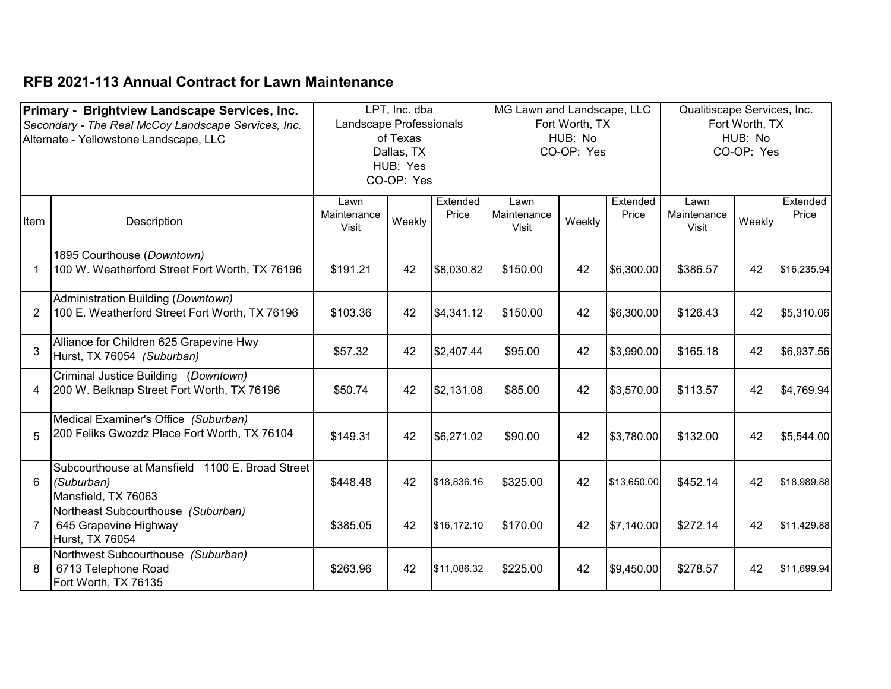|                | Primary - Brightview Landscape Services, Inc.       |                         | LPT, Inc. dba |             | MG Lawn and Landscape, LLC |                |             | Qualitiscape Services, Inc. |                |             |
|----------------|-----------------------------------------------------|-------------------------|---------------|-------------|----------------------------|----------------|-------------|-----------------------------|----------------|-------------|
|                | Secondary - The Real McCoy Landscape Services, Inc. | Landscape Professionals |               |             |                            | Fort Worth, TX |             |                             | Fort Worth, TX |             |
|                | Alternate - Yellowstone Landscape, LLC              |                         | of Texas      |             |                            | HUB: No        |             |                             | HUB: No        |             |
|                |                                                     |                         | Dallas, TX    |             |                            | CO-OP: Yes     |             |                             | CO-OP: Yes     |             |
|                |                                                     |                         | HUB: Yes      |             |                            |                |             |                             |                |             |
|                |                                                     |                         | CO-OP: Yes    |             |                            |                |             |                             |                |             |
|                |                                                     | Lawn                    |               | Extended    | Lawn                       |                | Extended    | Lawn                        |                | Extended    |
| Item           | Description                                         | Maintenance             | Weekly        | Price       | Maintenance                | Weekly         | Price       | Maintenance                 | Weekly         | Price       |
|                |                                                     | Visit                   |               |             | Visit                      |                |             | Visit                       |                |             |
|                | 1895 Courthouse (Downtown)                          |                         |               |             |                            |                |             |                             |                |             |
| $\mathbf 1$    | 100 W. Weatherford Street Fort Worth, TX 76196      | \$191.21                | 42            | \$8,030.82  | \$150.00                   | 42             | \$6,300.00  | \$386.57                    | 42             | \$16,235.94 |
|                | Administration Building (Downtown)                  |                         |               |             |                            |                |             |                             |                |             |
| $\overline{2}$ | 100 E. Weatherford Street Fort Worth, TX 76196      | \$103.36                | 42            | \$4,341.12  | \$150.00                   | 42             | \$6,300.00  | \$126.43                    | 42             | \$5,310.06  |
|                | Alliance for Children 625 Grapevine Hwy             |                         |               |             |                            |                |             |                             |                |             |
| 3              | Hurst, TX 76054 (Suburban)                          | \$57.32                 | 42            | \$2,407.44  | \$95.00                    | 42             | \$3,990.00  | \$165.18                    | 42             | \$6,937.56  |
|                | Criminal Justice Building (Downtown)                |                         |               |             |                            |                |             |                             |                |             |
| 4              | 200 W. Belknap Street Fort Worth, TX 76196          | \$50.74                 | 42            | \$2,131.08  | \$85.00                    | 42             | \$3,570.00  | \$113.57                    | 42             | \$4,769.94  |
|                | Medical Examiner's Office (Suburban)                |                         |               |             |                            |                |             |                             |                |             |
| 5              | 200 Feliks Gwozdz Place Fort Worth, TX 76104        | \$149.31                | 42            | \$6,271.02  | \$90.00                    | 42             | \$3,780.00  | \$132.00                    | 42             | \$5,544.00  |
|                |                                                     |                         |               |             |                            |                |             |                             |                |             |
|                | Subcourthouse at Mansfield 1100 E. Broad Street     |                         |               |             |                            |                |             |                             |                |             |
| 6              | (Suburban)                                          | \$448.48                | 42            | \$18,836.16 | \$325.00                   | 42             | \$13,650.00 | \$452.14                    | 42             | \$18,989.88 |
|                | Mansfield, TX 76063                                 |                         |               |             |                            |                |             |                             |                |             |
|                | Northeast Subcourthouse (Suburban)                  |                         |               |             |                            |                |             |                             |                |             |
| $\overline{7}$ | 645 Grapevine Highway                               | \$385.05                | 42            | \$16,172.10 | \$170.00                   | 42             | \$7,140.00  | \$272.14                    | 42             | \$11,429.88 |
|                | Hurst, TX 76054                                     |                         |               |             |                            |                |             |                             |                |             |
|                | Northwest Subcourthouse (Suburban)                  |                         |               |             |                            |                |             |                             |                |             |
| 8              | 6713 Telephone Road                                 | \$263.96                | 42            | \$11,086.32 | \$225.00                   | 42             | \$9,450.00  | \$278.57                    | 42             | \$11,699.94 |
|                | Fort Worth, TX 76135                                |                         |               |             |                            |                |             |                             |                |             |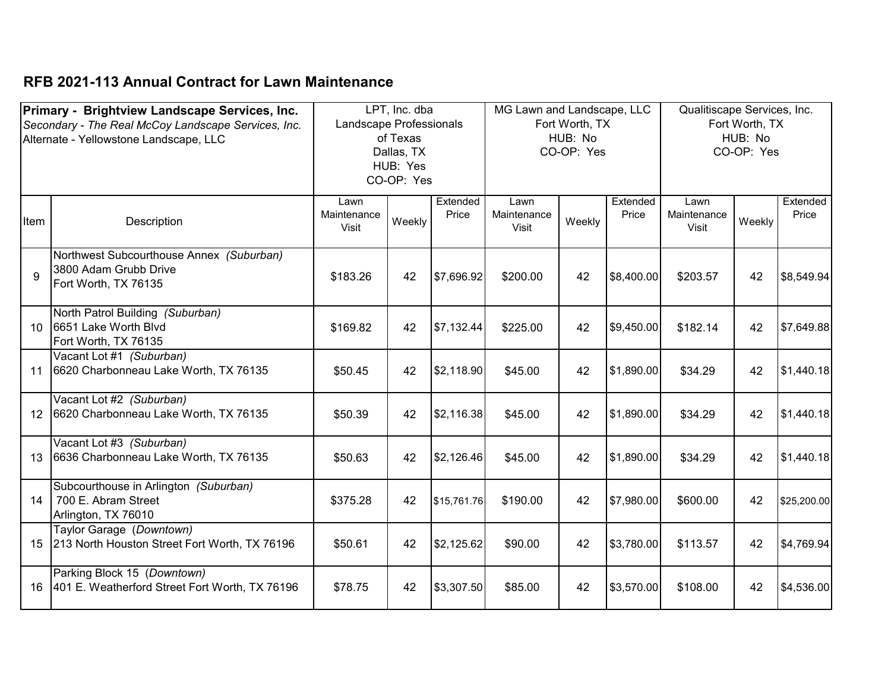|      | Primary - Brightview Landscape Services, Inc.       |                         | LPT, Inc. dba |             | MG Lawn and Landscape, LLC |                |            | Qualitiscape Services, Inc. |                |             |
|------|-----------------------------------------------------|-------------------------|---------------|-------------|----------------------------|----------------|------------|-----------------------------|----------------|-------------|
|      | Secondary - The Real McCoy Landscape Services, Inc. | Landscape Professionals |               |             |                            | Fort Worth, TX |            |                             | Fort Worth, TX |             |
|      | Alternate - Yellowstone Landscape, LLC              |                         | of Texas      |             |                            | HUB: No        |            |                             | HUB: No        |             |
|      |                                                     |                         | Dallas, TX    |             |                            | CO-OP: Yes     |            |                             | CO-OP: Yes     |             |
|      |                                                     |                         | HUB: Yes      |             |                            |                |            |                             |                |             |
|      |                                                     |                         | CO-OP: Yes    |             |                            |                |            |                             |                |             |
|      |                                                     |                         |               |             |                            |                |            |                             |                |             |
|      |                                                     | Lawn                    |               | Extended    | Lawn                       |                | Extended   | Lawn                        |                | Extended    |
| Item | Description                                         | Maintenance             | Weekly        | Price       | Maintenance                | Weekly         | Price      | Maintenance                 | Weekly         | Price       |
|      |                                                     | Visit                   |               |             | Visit                      |                |            | Visit                       |                |             |
|      |                                                     |                         |               |             |                            |                |            |                             |                |             |
|      | Northwest Subcourthouse Annex (Suburban)            |                         |               |             |                            |                |            |                             |                |             |
| 9    | 3800 Adam Grubb Drive                               | \$183.26                | 42            | \$7,696.92  | \$200.00                   | 42             | \$8,400.00 | \$203.57                    | 42             | \$8,549.94  |
|      | Fort Worth, TX 76135                                |                         |               |             |                            |                |            |                             |                |             |
|      |                                                     |                         |               |             |                            |                |            |                             |                |             |
|      | North Patrol Building (Suburban)                    |                         |               |             |                            |                |            |                             |                |             |
| 10   | 6651 Lake Worth Blvd                                | \$169.82                | 42            | \$7,132.44  | \$225.00                   | 42             | \$9,450.00 | \$182.14                    | 42             | \$7,649.88  |
|      | Fort Worth, TX 76135                                |                         |               |             |                            |                |            |                             |                |             |
|      | Vacant Lot #1 (Suburban)                            |                         |               |             |                            |                |            |                             |                |             |
| 11   | 6620 Charbonneau Lake Worth, TX 76135               | \$50.45                 | 42            | \$2,118.90  | \$45.00                    | 42             | \$1,890.00 | \$34.29                     | 42             | \$1,440.18  |
|      |                                                     |                         |               |             |                            |                |            |                             |                |             |
|      | Vacant Lot #2 (Suburban)                            |                         |               |             |                            |                |            |                             |                |             |
| 12   | 6620 Charbonneau Lake Worth, TX 76135               | \$50.39                 | 42            | \$2,116.38  | \$45.00                    | 42             | \$1,890.00 | \$34.29                     | 42             | \$1,440.18  |
|      |                                                     |                         |               |             |                            |                |            |                             |                |             |
|      | Vacant Lot #3 (Suburban)                            |                         |               |             |                            |                |            |                             |                |             |
| 13   | 6636 Charbonneau Lake Worth, TX 76135               | \$50.63                 | 42            | \$2,126.46  | \$45.00                    | 42             | \$1,890.00 | \$34.29                     | 42             | \$1,440.18  |
|      |                                                     |                         |               |             |                            |                |            |                             |                |             |
|      | Subcourthouse in Arlington (Suburban)               |                         |               |             |                            |                |            |                             |                |             |
| 14   | 700 E. Abram Street                                 | \$375.28                | 42            | \$15,761.76 | \$190.00                   | 42             | \$7,980.00 | \$600.00                    | 42             | \$25,200.00 |
|      | Arlington, TX 76010                                 |                         |               |             |                            |                |            |                             |                |             |
|      | Taylor Garage (Downtown)                            |                         |               |             |                            |                |            |                             |                |             |
| 15   | 213 North Houston Street Fort Worth, TX 76196       | \$50.61                 | 42            | \$2,125.62  | \$90.00                    | 42             | \$3,780.00 | \$113.57                    | 42             | \$4,769.94  |
|      |                                                     |                         |               |             |                            |                |            |                             |                |             |
|      | Parking Block 15 (Downtown)                         |                         |               |             |                            |                |            |                             |                |             |
| 16   | 401 E. Weatherford Street Fort Worth, TX 76196      | \$78.75                 | 42            | \$3,307.50  | \$85.00                    | 42             | \$3,570.00 | \$108.00                    | 42             | \$4,536.00  |
|      |                                                     |                         |               |             |                            |                |            |                             |                |             |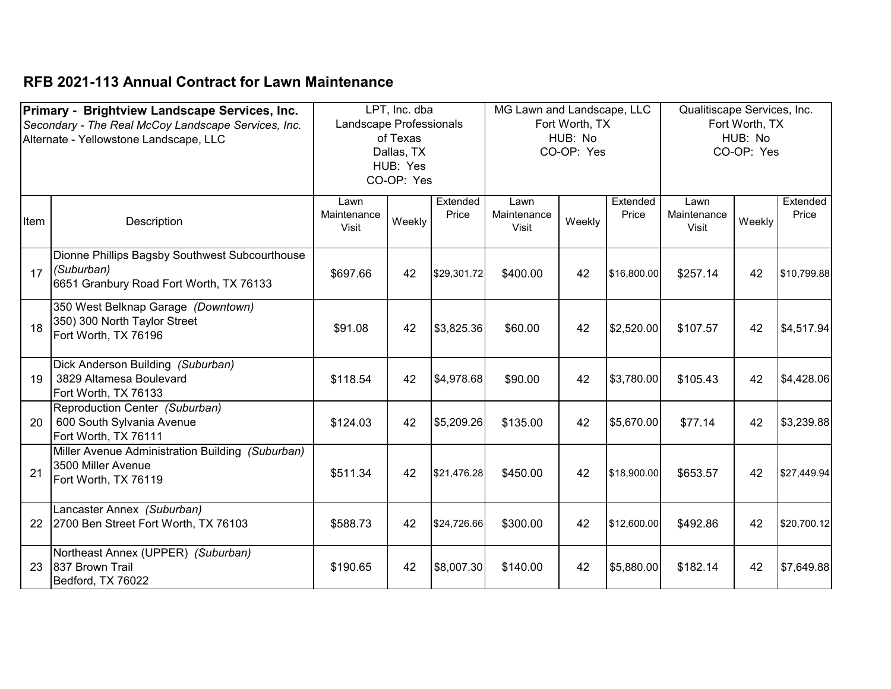|      | Primary - Brightview Landscape Services, Inc.       |                         | LPT, Inc. dba |             | MG Lawn and Landscape, LLC |                |             | Qualitiscape Services, Inc. |                |             |
|------|-----------------------------------------------------|-------------------------|---------------|-------------|----------------------------|----------------|-------------|-----------------------------|----------------|-------------|
|      | Secondary - The Real McCoy Landscape Services, Inc. | Landscape Professionals |               |             |                            | Fort Worth, TX |             |                             | Fort Worth, TX |             |
|      | Alternate - Yellowstone Landscape, LLC              |                         | of Texas      |             |                            | HUB: No        |             |                             | HUB: No        |             |
|      |                                                     |                         | Dallas, TX    |             |                            | CO-OP: Yes     |             |                             | CO-OP: Yes     |             |
|      |                                                     |                         | HUB: Yes      |             |                            |                |             |                             |                |             |
|      |                                                     |                         | CO-OP: Yes    |             |                            |                |             |                             |                |             |
|      |                                                     |                         |               |             |                            |                |             |                             |                |             |
|      |                                                     | Lawn                    |               | Extended    | Lawn                       |                | Extended    | Lawn                        |                | Extended    |
| Item | Description                                         | Maintenance             | Weekly        | Price       | Maintenance                | Weekly         | Price       | Maintenance                 | Weekly         | Price       |
|      |                                                     | <b>Visit</b>            |               |             | Visit                      |                |             | Visit                       |                |             |
|      |                                                     |                         |               |             |                            |                |             |                             |                |             |
|      | Dionne Phillips Bagsby Southwest Subcourthouse      |                         |               |             |                            |                |             |                             |                |             |
| 17   | (Suburban)                                          | \$697.66                | 42            | \$29,301.72 | \$400.00                   | 42             | \$16,800.00 | \$257.14                    | 42             | \$10,799.88 |
|      | 6651 Granbury Road Fort Worth, TX 76133             |                         |               |             |                            |                |             |                             |                |             |
|      | 350 West Belknap Garage (Downtown)                  |                         |               |             |                            |                |             |                             |                |             |
|      | 350) 300 North Taylor Street                        |                         |               |             |                            |                |             |                             |                |             |
| 18   | Fort Worth, TX 76196                                | \$91.08                 | 42            | \$3,825.36  | \$60.00                    | 42             | \$2,520.00  | \$107.57                    | 42             | \$4,517.94  |
|      |                                                     |                         |               |             |                            |                |             |                             |                |             |
|      | Dick Anderson Building (Suburban)                   |                         |               |             |                            |                |             |                             |                |             |
| 19   | 3829 Altamesa Boulevard                             | \$118.54                | 42            | \$4,978.68  | \$90.00                    | 42             | \$3,780.00  | \$105.43                    | 42             | \$4,428.06  |
|      | Fort Worth, TX 76133                                |                         |               |             |                            |                |             |                             |                |             |
|      | Reproduction Center (Suburban)                      |                         |               |             |                            |                |             |                             |                |             |
| 20   | 600 South Sylvania Avenue                           | \$124.03                | 42            | \$5,209.26  | \$135.00                   | 42             | \$5,670.00  | \$77.14                     | 42             | \$3,239.88  |
|      | Fort Worth, TX 76111                                |                         |               |             |                            |                |             |                             |                |             |
|      | Miller Avenue Administration Building (Suburban)    |                         |               |             |                            |                |             |                             |                |             |
|      | 3500 Miller Avenue                                  |                         |               |             |                            |                |             |                             |                |             |
| 21   | Fort Worth, TX 76119                                | \$511.34                | 42            | \$21,476.28 | \$450.00                   | 42             | \$18,900.00 | \$653.57                    | 42             | \$27,449.94 |
|      |                                                     |                         |               |             |                            |                |             |                             |                |             |
|      | Lancaster Annex (Suburban)                          |                         |               |             |                            |                |             |                             |                |             |
| 22   | 2700 Ben Street Fort Worth, TX 76103                | \$588.73                | 42            | \$24,726.66 | \$300.00                   | 42             | \$12,600.00 | \$492.86                    | 42             | \$20,700.12 |
|      |                                                     |                         |               |             |                            |                |             |                             |                |             |
|      | Northeast Annex (UPPER) (Suburban)                  |                         |               |             |                            |                |             |                             |                |             |
| 23   | <b>837 Brown Trail</b>                              | \$190.65                | 42            | \$8,007.30  | \$140.00                   | 42             | \$5,880.00  | \$182.14                    | 42             | \$7,649.88  |
|      | Bedford, TX 76022                                   |                         |               |             |                            |                |             |                             |                |             |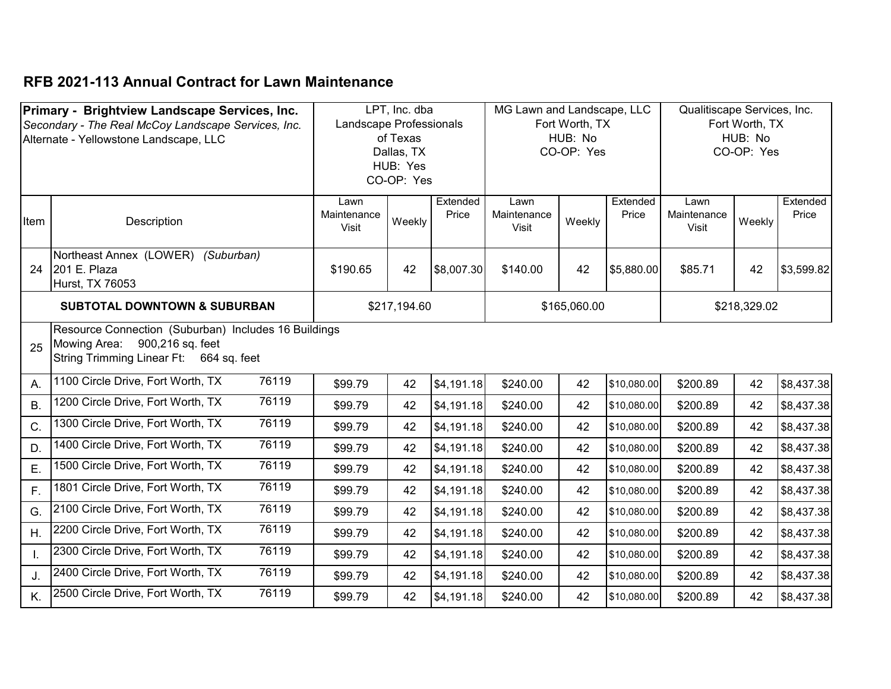|              | Primary - Brightview Landscape Services, Inc.        | LPT, Inc. dba<br>Landscape Professionals |                        | MG Lawn and Landscape, LLC<br>Fort Worth, TX |              |              | Qualitiscape Services, Inc.<br>Fort Worth, TX |             |              |            |
|--------------|------------------------------------------------------|------------------------------------------|------------------------|----------------------------------------------|--------------|--------------|-----------------------------------------------|-------------|--------------|------------|
|              | Secondary - The Real McCoy Landscape Services, Inc.  |                                          | of Texas               |                                              |              | HUB: No      |                                               |             | HUB: No      |            |
|              | Alternate - Yellowstone Landscape, LLC               |                                          | Dallas, TX             |                                              |              | CO-OP: Yes   |                                               |             | CO-OP: Yes   |            |
|              |                                                      |                                          |                        |                                              |              |              |                                               |             |              |            |
|              |                                                      |                                          | HUB: Yes<br>CO-OP: Yes |                                              |              |              |                                               |             |              |            |
|              |                                                      |                                          |                        |                                              |              |              |                                               |             |              |            |
|              |                                                      | Lawn                                     |                        | Extended                                     | Lawn         |              | Extended                                      | Lawn        |              | Extended   |
| Item         | Description                                          | Maintenance                              | Weekly                 | Price                                        | Maintenance  | Weekly       | Price                                         | Maintenance | Weekly       | Price      |
|              |                                                      | Visit                                    |                        |                                              | <b>Visit</b> |              |                                               | Visit       |              |            |
|              | Northeast Annex (LOWER) (Suburban)                   |                                          |                        |                                              |              |              |                                               |             |              |            |
| 24           | 201 E. Plaza                                         | \$190.65                                 | 42                     | \$8,007.30                                   | \$140.00     | 42           | \$5,880.00                                    | \$85.71     | 42           | \$3,599.82 |
|              | Hurst, TX 76053                                      |                                          |                        |                                              |              |              |                                               |             |              |            |
|              |                                                      |                                          |                        |                                              |              |              |                                               |             |              |            |
|              | <b>SUBTOTAL DOWNTOWN &amp; SUBURBAN</b>              |                                          | \$217,194.60           |                                              |              | \$165,060.00 |                                               |             | \$218,329.02 |            |
|              | Resource Connection (Suburban) Includes 16 Buildings |                                          |                        |                                              |              |              |                                               |             |              |            |
| 25           | Mowing Area: 900,216 sq. feet                        |                                          |                        |                                              |              |              |                                               |             |              |            |
|              | String Trimming Linear Ft: 664 sq. feet              |                                          |                        |                                              |              |              |                                               |             |              |            |
|              |                                                      |                                          |                        |                                              |              |              |                                               |             |              |            |
| А.           | 76119<br>1100 Circle Drive, Fort Worth, TX           | \$99.79                                  | 42                     | \$4,191.18                                   | \$240.00     | 42           | \$10,080.00                                   | \$200.89    | 42           | \$8,437.38 |
| Β.           | 1200 Circle Drive, Fort Worth, TX<br>76119           | \$99.79                                  | 42                     | \$4,191.18                                   | \$240.00     | 42           | \$10,080.00                                   | \$200.89    | 42           | \$8,437.38 |
| C.           | 76119<br>1300 Circle Drive, Fort Worth, TX           | \$99.79                                  | 42                     | \$4,191.18                                   | \$240.00     | 42           | \$10,080.00                                   | \$200.89    | 42           | \$8,437.38 |
| D.           | 76119<br>1400 Circle Drive, Fort Worth, TX           | \$99.79                                  | 42                     | \$4,191.18                                   | \$240.00     | 42           | \$10,080.00                                   | \$200.89    | 42           | \$8,437.38 |
| E.           | 76119<br>1500 Circle Drive, Fort Worth, TX           | \$99.79                                  | 42                     | \$4,191.18                                   | \$240.00     | 42           | \$10,080.00                                   | \$200.89    | 42           | \$8,437.38 |
| F.           | 76119<br>1801 Circle Drive, Fort Worth, TX           | \$99.79                                  | 42                     | \$4,191.18                                   | \$240.00     | 42           | \$10,080.00                                   | \$200.89    | 42           | \$8,437.38 |
| G.           | 76119<br>2100 Circle Drive, Fort Worth, TX           | \$99.79                                  | 42                     | \$4,191.18                                   | \$240.00     | 42           | \$10,080.00                                   | \$200.89    | 42           | \$8,437.38 |
| Η.           | 76119<br>2200 Circle Drive, Fort Worth, TX           | \$99.79                                  | 42                     | \$4,191.18                                   | \$240.00     | 42           | \$10,080.00                                   | \$200.89    | 42           | \$8,437.38 |
| $\mathsf{L}$ | 76119<br>2300 Circle Drive, Fort Worth, TX           | \$99.79                                  | 42                     | \$4,191.18                                   | \$240.00     | 42           | \$10,080.00                                   | \$200.89    | 42           | \$8,437.38 |
| J.           | 76119<br>2400 Circle Drive, Fort Worth, TX           | \$99.79                                  | 42                     | \$4,191.18                                   | \$240.00     | 42           | \$10,080.00                                   | \$200.89    | 42           | \$8,437.38 |
| K.           | 76119<br>2500 Circle Drive, Fort Worth, TX           | \$99.79                                  | 42                     | \$4,191.18                                   | \$240.00     | 42           | \$10,080.00                                   | \$200.89    | 42           | \$8,437.38 |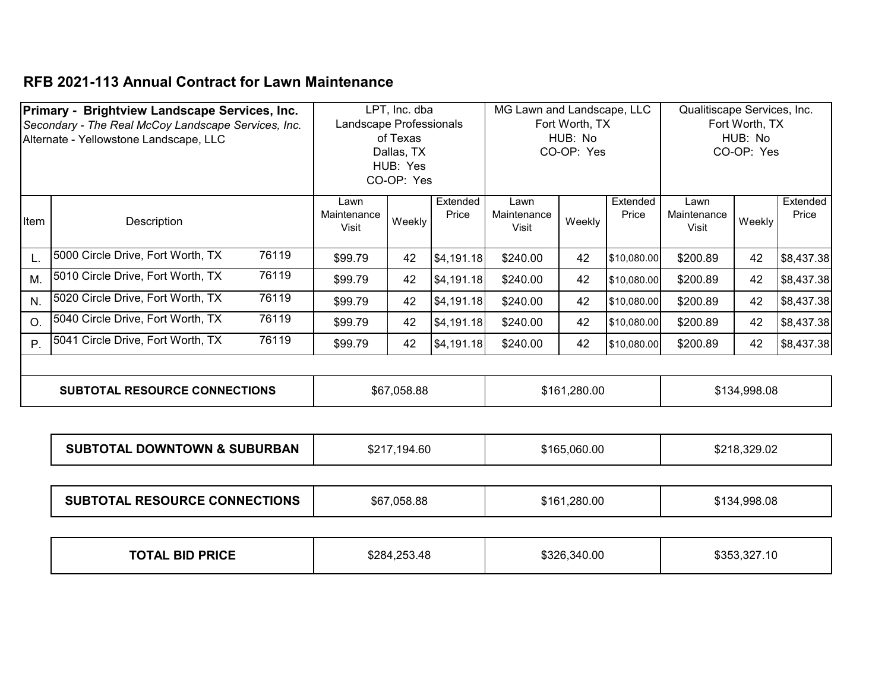|                  | Primary - Brightview Landscape Services, Inc.       |       |                         | LPT, Inc. dba |            | MG Lawn and Landscape, LLC |                |             | Qualitiscape Services, Inc. |                |            |
|------------------|-----------------------------------------------------|-------|-------------------------|---------------|------------|----------------------------|----------------|-------------|-----------------------------|----------------|------------|
|                  | Secondary - The Real McCoy Landscape Services, Inc. |       | Landscape Professionals |               |            |                            | Fort Worth, TX |             |                             | Fort Worth, TX |            |
|                  | Alternate - Yellowstone Landscape, LLC              |       |                         | of Texas      |            |                            | HUB: No        |             |                             | HUB: No        |            |
|                  |                                                     |       |                         | Dallas, TX    |            |                            | CO-OP: Yes     |             |                             | CO-OP: Yes     |            |
|                  |                                                     |       |                         | HUB: Yes      |            |                            |                |             |                             |                |            |
|                  |                                                     |       |                         | CO-OP: Yes    |            |                            |                |             |                             |                |            |
|                  |                                                     |       | Lawn                    |               | Extended   | Lawn                       |                | Extended    | Lawn                        |                | Extended   |
| Item             | Description                                         |       | Maintenance<br>Visit    | Weekly        | Price      | Maintenance<br>Visit       | Weekly         | Price       | Maintenance<br>Visit        | Weekly         | Price      |
|                  |                                                     |       |                         |               |            |                            |                |             |                             |                |            |
| L.               | 5000 Circle Drive, Fort Worth, TX                   | 76119 | \$99.79                 | 42            | \$4,191.18 | \$240.00                   | 42             | \$10,080.00 | \$200.89                    | 42             | \$8,437.38 |
| M.               | 5010 Circle Drive, Fort Worth, TX                   | 76119 | \$99.79                 | 42            | \$4,191.18 | \$240.00                   | 42             | \$10,080.00 | \$200.89                    | 42             | \$8,437.38 |
| N.               | 5020 Circle Drive, Fort Worth, TX                   | 76119 | \$99.79                 | 42            | \$4,191.18 | \$240.00                   | 42             | \$10,080.00 | \$200.89                    | 42             | \$8,437.38 |
| $\overline{O}$ . | 5040 Circle Drive, Fort Worth, TX                   | 76119 | \$99.79                 | 42            | \$4,191.18 | \$240.00                   | 42             | \$10,080.00 | \$200.89                    | 42             | \$8,437.38 |
| P                | 5041 Circle Drive, Fort Worth, TX                   | 76119 | \$99.79                 | 42            | \$4,191.18 | \$240.00                   | 42             | \$10,080.00 | \$200.89                    | 42             | \$8,437.38 |
|                  |                                                     |       |                         |               |            |                            |                |             |                             |                |            |
|                  | <b>SUBTOTAL RESOURCE CONNECTIONS</b>                |       |                         | \$67,058.88   |            |                            | \$161,280.00   |             |                             | \$134,998.08   |            |

| <b>DOWNTOWN &amp; SUBURBAN</b><br><b>SUBTOTAL</b> | 194.60<br>. | .060.00<br>-165ھ | 0.0000<br>0.04 <sub>1</sub><br>329.02<br>JDZ. |
|---------------------------------------------------|-------------|------------------|-----------------------------------------------|
|---------------------------------------------------|-------------|------------------|-----------------------------------------------|

| <b>SUBTOTAL RESOURCE CONNECTIONS</b> | \$67,058.88 | \$161,280.00 | \$134,998.08 |
|--------------------------------------|-------------|--------------|--------------|
|--------------------------------------|-------------|--------------|--------------|

| <b>TOTAL BID PRICE</b> | .253.48 | \$326,340.00 | 327.10 |
|------------------------|---------|--------------|--------|
|                        | \$284.7 |              | `ጓዳ    |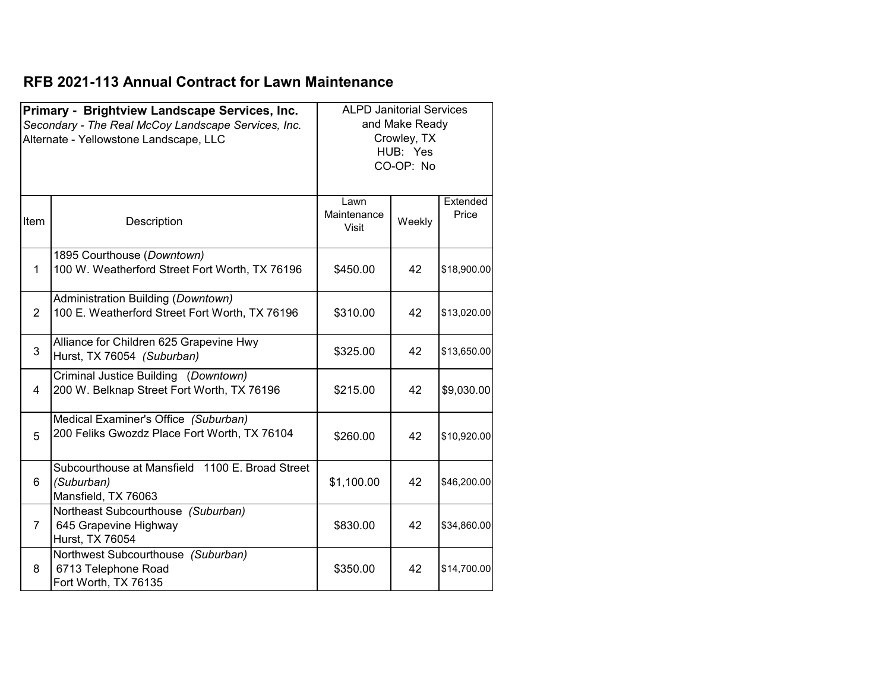|                | Primary - Brightview Landscape Services, Inc.<br>Secondary - The Real McCoy Landscape Services, Inc.<br>Alternate - Yellowstone Landscape, LLC | <b>ALPD Janitorial Services</b> | and Make Ready<br>Crowley, TX<br>HUB: Yes<br>CO-OP: No |                   |
|----------------|------------------------------------------------------------------------------------------------------------------------------------------------|---------------------------------|--------------------------------------------------------|-------------------|
| Item           | Description                                                                                                                                    | Lawn<br>Maintenance<br>Visit    | Weekly                                                 | Extended<br>Price |
| $\mathbf{1}$   | 1895 Courthouse (Downtown)<br>100 W. Weatherford Street Fort Worth, TX 76196                                                                   | \$450.00                        | 42                                                     | \$18,900.00       |
| 2              | Administration Building (Downtown)<br>100 E. Weatherford Street Fort Worth, TX 76196                                                           | \$310.00                        | 42                                                     | \$13,020.00       |
| 3              | Alliance for Children 625 Grapevine Hwy<br>Hurst, TX 76054 (Suburban)                                                                          | \$325.00                        | 42                                                     | \$13,650.00       |
| 4              | Criminal Justice Building (Downtown)<br>200 W. Belknap Street Fort Worth, TX 76196                                                             | \$215.00                        | 42                                                     | \$9,030.00        |
| 5              | Medical Examiner's Office (Suburban)<br>200 Feliks Gwozdz Place Fort Worth, TX 76104                                                           | \$260.00                        | 42                                                     | \$10,920.00       |
| 6              | Subcourthouse at Mansfield 1100 E. Broad Street<br>(Suburban)<br>Mansfield, TX 76063                                                           | \$1,100.00                      | 42                                                     | \$46,200.00       |
| $\overline{7}$ | Northeast Subcourthouse (Suburban)<br>645 Grapevine Highway<br>Hurst, TX 76054                                                                 | \$830.00                        | 42                                                     | \$34,860.00       |
| 8              | Northwest Subcourthouse (Suburban)<br>6713 Telephone Road<br>Fort Worth, TX 76135                                                              | \$350.00                        | 42                                                     | \$14,700.00       |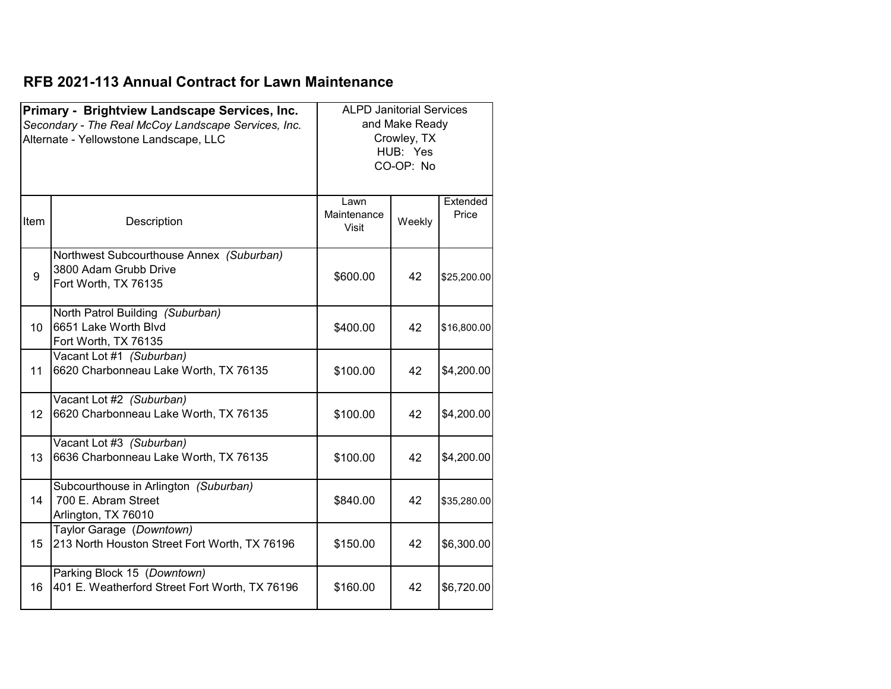|                  | Primary - Brightview Landscape Services, Inc.<br>Secondary - The Real McCoy Landscape Services, Inc.<br>Alternate - Yellowstone Landscape, LLC | <b>ALPD Janitorial Services</b> | and Make Ready<br>Crowley, TX<br>HUB: Yes<br>CO-OP: No |                   |
|------------------|------------------------------------------------------------------------------------------------------------------------------------------------|---------------------------------|--------------------------------------------------------|-------------------|
| Item             | Description                                                                                                                                    | Lawn<br>Maintenance<br>Visit    | Weekly                                                 | Extended<br>Price |
| 9                | Northwest Subcourthouse Annex (Suburban)<br>3800 Adam Grubb Drive<br>Fort Worth, TX 76135                                                      | \$600.00                        | 42                                                     | \$25,200.00       |
| 10 <sup>1</sup>  | North Patrol Building (Suburban)<br>6651 Lake Worth Blvd<br>Fort Worth, TX 76135                                                               | \$400.00                        | 42                                                     | \$16,800.00       |
| 11               | Vacant Lot #1 (Suburban)<br>6620 Charbonneau Lake Worth, TX 76135                                                                              | \$100.00                        | 42                                                     | \$4,200.00        |
| 12 <sup>°</sup>  | Vacant Lot #2 (Suburban)<br>6620 Charbonneau Lake Worth, TX 76135                                                                              | \$100.00                        | 42                                                     | \$4,200.00        |
| 13               | Vacant Lot #3 (Suburban)<br>6636 Charbonneau Lake Worth, TX 76135                                                                              | \$100.00                        | 42                                                     | \$4,200.00        |
| 14               | Subcourthouse in Arlington (Suburban)<br>700 E. Abram Street<br>Arlington, TX 76010                                                            | \$840.00                        | 42                                                     | \$35,280.00       |
| 15 <sup>15</sup> | Taylor Garage (Downtown)<br>213 North Houston Street Fort Worth, TX 76196                                                                      | \$150.00                        | 42                                                     | \$6,300.00        |
| 16               | Parking Block 15 (Downtown)<br>401 E. Weatherford Street Fort Worth, TX 76196                                                                  | \$160.00                        | 42                                                     | \$6,720.00        |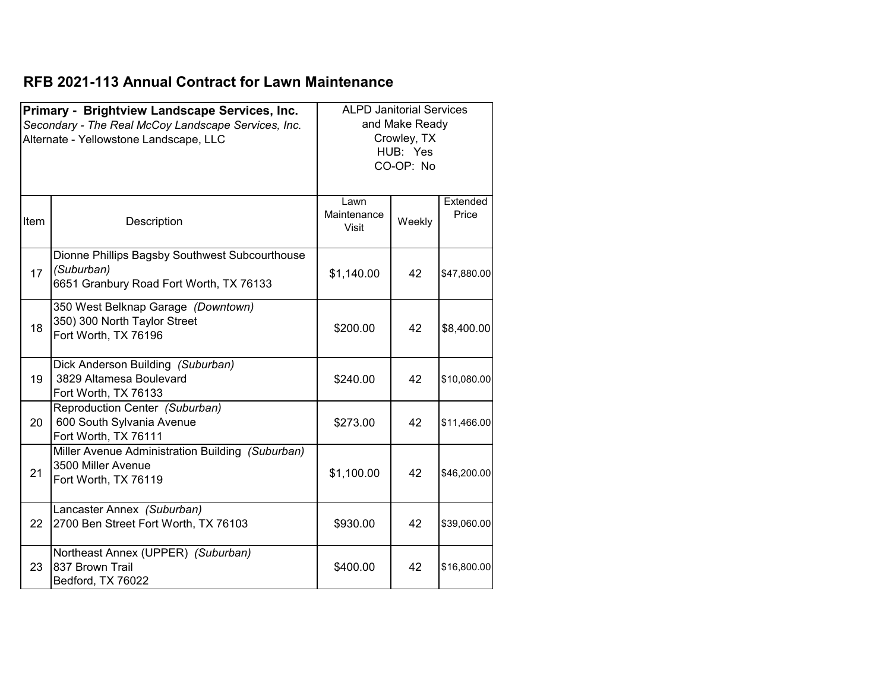|      | Primary - Brightview Landscape Services, Inc.<br>Secondary - The Real McCoy Landscape Services, Inc.<br>Alternate - Yellowstone Landscape, LLC | <b>ALPD Janitorial Services</b>     | and Make Ready<br>Crowley, TX<br>HUB: Yes<br>CO-OP: No |                   |
|------|------------------------------------------------------------------------------------------------------------------------------------------------|-------------------------------------|--------------------------------------------------------|-------------------|
| Item | Description                                                                                                                                    | Lawn<br>Maintenance<br><b>Visit</b> | Weekly                                                 | Extended<br>Price |
| 17   | Dionne Phillips Bagsby Southwest Subcourthouse<br>(Suburban)<br>6651 Granbury Road Fort Worth, TX 76133                                        | \$1,140.00                          | 42                                                     | \$47,880.00       |
| 18   | 350 West Belknap Garage (Downtown)<br>350) 300 North Taylor Street<br>Fort Worth, TX 76196                                                     | \$200.00                            | 42                                                     | \$8,400.00        |
| 19   | Dick Anderson Building (Suburban)<br>3829 Altamesa Boulevard<br>Fort Worth, TX 76133                                                           | \$240.00                            | 42                                                     | \$10,080.00       |
| 20   | Reproduction Center (Suburban)<br>600 South Sylvania Avenue<br>Fort Worth, TX 76111                                                            | \$273.00                            | 42                                                     | \$11,466.00       |
| 21   | Miller Avenue Administration Building (Suburban)<br>3500 Miller Avenue<br>Fort Worth, TX 76119                                                 | \$1,100.00                          | 42                                                     | \$46,200.00       |
| 22   | Lancaster Annex (Suburban)<br>2700 Ben Street Fort Worth, TX 76103                                                                             | \$930.00                            | 42                                                     | \$39,060.00       |
| 23   | Northeast Annex (UPPER) (Suburban)<br>837 Brown Trail<br>Bedford, TX 76022                                                                     | \$400.00                            | 42                                                     | \$16,800.00       |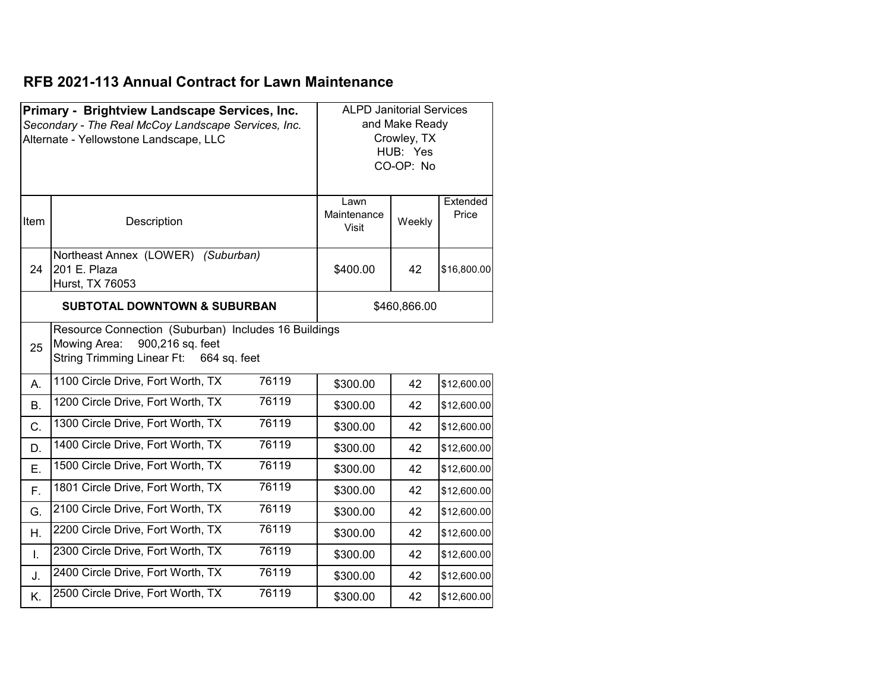|                                         | Primary - Brightview Landscape Services, Inc.<br>Secondary - The Real McCoy Landscape Services, Inc.<br>Alternate - Yellowstone Landscape, LLC |       | <b>ALPD Janitorial Services</b> | and Make Ready<br>Crowley, TX<br>HUB: Yes<br>CO-OP: No |                   |
|-----------------------------------------|------------------------------------------------------------------------------------------------------------------------------------------------|-------|---------------------------------|--------------------------------------------------------|-------------------|
| Item                                    | Description                                                                                                                                    |       | Lawn<br>Maintenance<br>Visit    | Weekly                                                 | Extended<br>Price |
| 24                                      | Northeast Annex (LOWER) (Suburban)<br>201 E. Plaza<br>Hurst, TX 76053                                                                          |       | \$400.00                        | 42                                                     | \$16,800.00       |
| <b>SUBTOTAL DOWNTOWN &amp; SUBURBAN</b> |                                                                                                                                                |       | \$460,866.00                    |                                                        |                   |
| 25                                      | Resource Connection (Suburban) Includes 16 Buildings<br>900,216 sq. feet<br>Mowing Area:<br><b>String Trimming Linear Ft:</b><br>664 sq. feet  |       |                                 |                                                        |                   |
| А.                                      | 1100 Circle Drive, Fort Worth, TX                                                                                                              | 76119 | \$300.00                        | 42                                                     | \$12,600.00       |
| <b>B.</b>                               | 1200 Circle Drive, Fort Worth, TX                                                                                                              | 76119 | \$300.00                        | 42                                                     | \$12,600.00       |
| C.                                      | 1300 Circle Drive, Fort Worth, TX                                                                                                              | 76119 | \$300.00                        | 42                                                     | \$12,600.00       |
| D.                                      | 1400 Circle Drive, Fort Worth, TX                                                                                                              | 76119 | \$300.00                        | 42                                                     | \$12,600.00       |
| Ε.                                      | 1500 Circle Drive, Fort Worth, TX                                                                                                              | 76119 | \$300.00                        | 42                                                     | \$12,600.00       |
| F.                                      | 1801 Circle Drive, Fort Worth, TX                                                                                                              | 76119 | \$300.00                        | 42                                                     | \$12,600.00       |
| G.                                      | 2100 Circle Drive, Fort Worth, TX                                                                                                              | 76119 | \$300.00                        | 42                                                     | \$12,600.00       |
| Η.                                      | 2200 Circle Drive, Fort Worth, TX                                                                                                              | 76119 | \$300.00                        | 42                                                     | \$12,600.00       |
| Ī.                                      | 2300 Circle Drive, Fort Worth, TX                                                                                                              | 76119 | \$300.00                        | 42                                                     | \$12,600.00       |
| J.                                      | 2400 Circle Drive, Fort Worth, TX                                                                                                              | 76119 | \$300.00                        | 42                                                     | \$12,600.00       |
| Κ.                                      | 2500 Circle Drive, Fort Worth, TX                                                                                                              | 76119 | \$300.00                        | 42                                                     | \$12,600.00       |